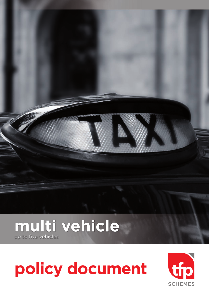# **multi vehicle** up to five vehicles

# **policy document**

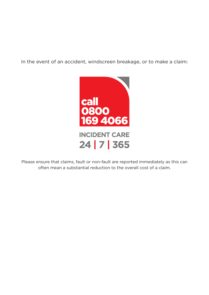In the event of an accident, windscreen breakage, or to make a claim:



Please ensure that claims, fault or non-fault are reported immediately as this can often mean a substantial reduction to the overall cost of a claim.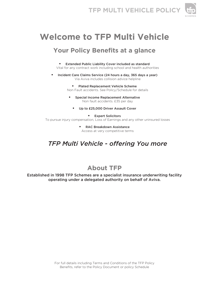



# **Welcome to TFP Multi Vehicle**

# **Your Policy Benefits at a glance**

- • Extended Public Liability Cover included as standard Vital for any contract work including school and health authorities
- • Incident Care Claims Service (24 hours a day, 365 days a year) Via Aviva includes collision advice helpline
	- Plated Replacement Vehicle Scheme Non Fault accidents. See Policy/Schedule for details
		- **Special Income Replacement Alternative** Non fault accidents. £35 per day
			- • Up to £25,000 Driver Assault Cover
- • Expert Solicitors To pursue injury compensation, Loss of Earnings and any other uninsured losses
	- • RAC Breakdown Assistance Access at very competitive terms

# *TFP Multi Vehicle - offering You more*

# **About TFP**

Established in 1998 TFP Schemes are a specialist insurance underwriting facility operating under a delegated authority on behalf of Aviva.

> For full details including Terms and Conditions of the TFP Policy Benefits, refer to the Policy Document or policy Schedule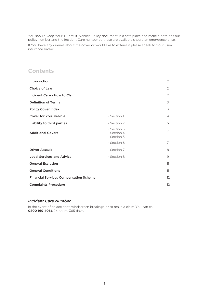You should keep Your TFP Multi Vehicle Policy document in a safe place and make a note of Your policy number and the Incident Care number so these are available should an emergency arise.

If You have any queries about the cover or would like to extend it please speak to Your usual insurance broker.

### **Contents**

|                                               | 2  |
|-----------------------------------------------|----|
|                                               | 2  |
|                                               | 2  |
|                                               | 3  |
|                                               | 3  |
| - Section 1                                   | 4  |
| - Section 2                                   | 5  |
| - Section 3<br>- Section 4<br>- Section 5     | 7  |
| - Section 6                                   | 7  |
| - Section 7                                   | 8  |
| - Section 8                                   | 9  |
|                                               | 11 |
|                                               | 11 |
| <b>Financial Services Compensation Scheme</b> | 12 |
|                                               | 12 |
|                                               |    |

#### *Incident Care Number*

In the event of an accident, windscreen breakage or to make a claim You can call 0800 169 4066 24 hours, 365 days.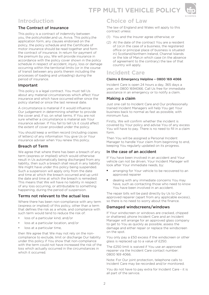# **Introduction**

### The Contract of Insurance

This policy is a contract of indemnity between you, the policyholder,and us, Aviva. This policy,the application form, any clauses endorsed on the policy, the policy schedule and the Certificate of motor insurance should be read together and form the contract of insurance. In return for payment of the premium by you, We will provide insurance in accordance with the policy cover shown in the policy schedule in respect of accident, injury, loss or damage occurring within the territorial limits (or in the course of transit between any ports therein including the processes of loading and unloading) during the period of insurance.

### Important

This policy is a legal contract. You must tell Us about any material circumstances which affect Your insurance and which have occurred either since the policy started or since the last renewal date.

A circumstance is material if it would influence Our judgement in determining whether to provide the cover and, if so, on what terms. If You are not sure whether a circumstance is material ask Your insurance adviser. If You fail to tell Us it could affect the extent of cover provided under the policy.

You should keep a written record (including copies of letters) of any information You give Us or Your insurance adviser when You renew this policy.

### Breach of Term

We agree that where there has been a breach of any term (express or implied) which would otherwise result in Us automatically being discharged from any liability, then such a breach shall result in any liability We might have under this policy being suspended. Such a suspension will apply only from the date and time at which the breach occurred and up until the date and time at which the breach is remedied. This means that We will have no liability in respect of any loss occurring, or attributable to something happening, during the period of suspension.

### Terms not relevant to the actual loss

Where there has been non-compliance with any term (express or implied) of this policy, other than a term that defines the risk as a whole, and compliance with such term would tend to reduce the risk of:

- loss of a particular kind, and/or
- loss at a particular location, and/or
- loss at a particular time,

then We agree that We may not rely on the noncompliance to exclude, limit or discharge Our liability under this policy if You show that non-compliance with the term could not have increased the risk of the loss which actually occurred in the circumstances in which it occurred.

### **Choice of Law**

The law of England and Wales will apply to this contract unless:

- (1) You and the Insurer agree otherwise; or
- (2) At the date of the contract You are a resident of (or,in the case of a business, the registered office or principal place of business is situated in) Scotland,Northern Ireland, Channel Islands or the Isle of Man,in which case (in the absence of agreement to the contrary) the law of that country will apply.

### **Incident Care**

#### Claims & Emergency Helpline – 0800 169 4066

Incident Care is open 24 hours a day, 365 days a year, on 0800 1694066. Call Us free for immediate assistance in an emergency or to notify a claim.

### Making a claim

Just one call to Incident Care and Our professionally trained Incident Managers will help You get Your business back to normal as fast as possible, with minimum fuss.

Firstly, We will confirm whether the incident is covered by Your policy and advise You of any excess You will have to pay. There is no need to fill in a claim form.

Then You will be assigned a Personal Incident Manager to handle Your claim from beginning to end, keeping You regularly updated on its progress.

### In the case of an accident

If You have been involved in an accident and Your vehicle can not be driven, Your Incident Manager will look after Your immediate needs, by:

- arranging for Your vehicle to be recovered to an approved repairer
- dealing with any immediate concerns You may have, such as contacting those who need to know You have been involved in an accident.

The repair bills will be paid directly by Us to Our approved repairer (apart from any applicable excess), so there is no need to worry about the finance.

### Damaged windscreens/windows

If Your windscreen or windows are cracked, chipped or shattered, phone Incident Care and an Incident Manager will arrange for an approved glass company to get to You as quickly as possible, assess the damage and either repair or replace the windscreen on the spot.

You only pay a £50 excess if the windscreen or other glass is replaced up to a value of £250.

The £250 limit is waived if You use an approved repairer via the Incident Care contact number: 0800 169 4066.

Note: For Our joint protection, telephone calls to Incident Care may be recorded and/or monitored.

You do not have to pay extra for Incident Care - it is all part of the service.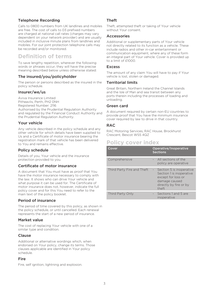### Telephone Recording

Calls to 0800 numbers from UK landlines and mobiles are free. The cost of calls to 03 prefixed numbers are charged at national call rates (charges may vary dependent on your network provider) and are usually included in inclusive minute plans from landlines and mobiles. For our joint protection telephone calls may be recorded and/or monitored.

# **Definition of terms**

To save lengthy repetition, wherever the following words or phrases occur, they will have the precise meaning described below unless otherwise stated:

### The insured/you/policyholder

The person or persons described as the insured in the policy schedule.

### Insurer/we/us

Aviva Insurance Limited Pitheavlis, Perth, PH2 0NH Registered Number: 2116 Authorised by the Prudential Regulation Authority and regulated by the Financial Conduct Authority and the Prudential Regulation Authority.

### Your vehicle

Any vehicle described in the policy schedule and any other vehicle for which details have been supplied to Us and a Certificate of motor insurance bearing the registration mark of that vehicle has been delivered to You and remains effective.

### Policy schedule

Details of you, Your vehicle and the insurance protection provided to you.

### Certificate of motor insurance

A document that You must have as proof that You have the motor insurance necessary to comply with the law. It shows who can drive Your vehicle and what purpose it can be used for. The Certificate of motor insurance does not, however, indicate the full policy cover and for this You need to refer to the main text of the policy booklet.

### Period of insurance

The period of time covered by this policy, as shown in the policy schedule, or until cancelled. Each renewal represents the start of a new period of insurance.

### Market value

The cost of replacing Your vehicle with one of a similar type and condition.

### Clause

Additional or alternative wordings which, when endorsed on Your policy, change its terms. Those clauses applicable are identified in Your policy schedule.

### Fire

Fire, self ignition, lightning and explosion.

### Theft

Theft, attempted theft or taking of Your vehicle without Your consent.

### Accessories

Additional or supplementary parts of Your vehicle not directly related to its function as a vehicle. These include radios and other in-car entertainment or communication equipment, where any of these form an integral part of Your vehicle. Cover is provided up to a limit of £1000.

### Excess

The amount of any claim You will have to pay if Your vehicle is lost, stolen or damaged.

### Territorial limits

Great Britain, Northern Ireland the Channel Islands and the Isle of Man and sea transit between any ports therein including the processes of loading and unloading.

### Green card

A document required by certain non-EU countries to provide proof that You have the minimum insurance cover required by law to drive in that country.

### RAC

RAC Motoring Services, RAC House, Brockhurst Crescent, Bescot WS5 4QZ

### **Policy cover index**

| Cover                      | Operative/Inoperative<br><b>Sections</b>                                                                                       |
|----------------------------|--------------------------------------------------------------------------------------------------------------------------------|
| Comprehensive              | All sections of the<br>policy are operative                                                                                    |
| Third Party Fire and Theft | Section 5 is inoperative<br>Section 1 is inoperative<br>except for loss or<br>damage caused<br>directly by fire or by<br>theft |
| Third Party Only           | Sections 1 and 5 are<br>inoperative                                                                                            |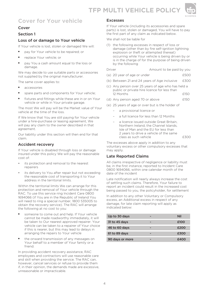

# **Cover for Your vehicle**

### Cover

### Section 1

### Loss of or damage to Your vehicle

If Your vehicle is lost, stolen or damaged We will:

- pay for Your vehicle to be repaired; or
- replace Your vehicle; or
- pay You a cash amount equal to the loss or damage.

We may decide to use suitable parts or accessories not supplied by the original manufacturer.

The same cover applies to:

- accessories
- spare parts and components for Your vehicle;
- fixtures and fittings while these are in or on Your vehicle or while in Your private garage.

The most We will pay will be the Market value of Your vehicle at the time of the loss.

If We know that You are still paying for Your vehicle under a hire-purchase or leasing agreement, We will pay any claim to the owner described in that agreement.

Our liability under this section will then end for that claim.

### Accident recovery

If Your vehicle is disabled through loss or damage insured under this policy We will pay the reasonable cost of:

- its protection and removal to the nearest repairers
- its delivery to You after repair but not exceeding the reasonable cost of transporting it to Your address in the territorial limits.

Within the territorial limits We can arrange for this protection and removal of Your vehicle through the RAC. To use this service ring Incident Care 0800 1694066 (if You are in the Republic of Ireland You will need to ring a special number, 1800 535005 to obtain the recovery service). The RAC will arrange the following at no cost to you:

- someone to come out and help. If Your vehicle cannot be made roadworthy immediately, it will be taken to Our nearest approved repairer. Your vehicle can be taken to a repairer of Your choice if this is nearer, but this may lead to delays in arranging the repairs to Your vehicle
- the onward transmission of any messages on Your behalf to a member of Your family or a friend.

In providing accident recovery assistance, RAC employees and contractors will use reasonable care and skill when providing the service. The RAC can, however, cancel services or refuse to provide them if, in their opinion, the demands made are excessive, unreasonable or impracticable.

### Excesses

If Your vehicle (including its accessories and spare parts) is lost, stolen or damaged, You will have to pay the first part of any claim as indicated below.

We shall not be liable for

(1) the following excesses in respect of loss or damage (other than by fire self-ignition lightning explosion or theft or attempted thereat) occurring while Your vehicle is being driven by or is in the charge of for the purpose of being driven by the following

Driver **Amount to be paid by you** 

- (a) 20 year of age or under  $£500$
- (b) Between 21 and 24 years of Age inclusive £300
- (c) Any person over 25 years of age who has held a public or private hire licence for less than 12 Months £150
- (d) Any person aged 70 or above  $f150$
- (e) 25 years of age or over but is the holder of
	- a provisional licence or
		- a full licence for less than 12 Months
	- a licence issued outside Great Britain, Northern Ireland, the Channel Islands, Isle of Man and the EU for less than 2 years to drive a vehicle of the same class as such vehicle **E300**

The excesses above apply in addition to any voluntary excess or other compulsory excesses that may apply.

### Late Reported Claims

All claims irrespective of negligence or liability must be, in the first instance, reported to Incident Care 0800 1694066, within one calendar month of the date of the incident

Late notification will nearly always increase the cost of settling such claims. Therefore, Your failure to report an incident could result in the increased cost being passed to you, the policyholder, for settlement

In addition to any other Voluntary or Compulsory excess, an Additional excess in respect of any damage, for late claim reporting will apply as indicated below:

| Up to 30 days   | Nil  |
|-----------------|------|
| 31 to 45 days   | £100 |
| 46 to 60 days   | £200 |
| 61 to 89 days   | £300 |
| 90 days or more | £400 |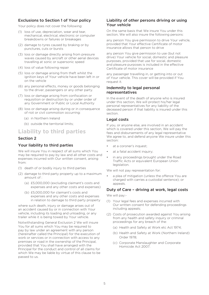### Exclusions to Section 1 of Your policy

Your policy does not cover the following:

- (1) loss of use, depreciation, wear and tear, mechanical, electrical, electronic or computer breakdowns or failures or breakages
- (2) damage to tyres caused by braking or by punctures, cuts or bursts
- (3) loss or damage directly arising from pressure waves caused by aircraft or other aerial devices travelling at sonic or supersonic speed
- (4) loss of value following repair
- (5) loss or damage arising from theft whilst the ignition keys of Your vehicle have been left in or on the vehicle
- (6) any personal effects, money or goods belonging to the driver, passengers or any other party.
- (7) loss or damage arising from confiscation or requisition or destruction by or under order of any Government or Public or Local Authority
- (8) loss or damage arising during or in consequence of riot or civil commotion occurring:
	- (a) in Northern Ireland
	- (b) outside the territorial limits;

### **Liability to third parties**

### Section 2

### Your liability to third parties

We will insure You in respect of all sums which You may be required to pay by law and all other costs and expenses incurred with Our written consent, arising from:

- (1) death of or bodily injury to third parties
- (2) damage to third party property up to a maximum amount of :
	- (a) £5,000,000 (excluding claimant's costs and expenses and any other costs and expenses)
	- (b) £5,000,000 for claimant's costs and expenses and any other costs and expenses in relation to damage to third party property

where such death, injury or damage arises out of an accident caused by or in connection with Your vehicle, including its loading and unloading, or any trailer while it is being towed by Your vehicle.

Notwithstanding General Exclusion 2 We will insure You for all sums which You may be required to pay by law under an agreement with any person (hereinafter called the Principal) for the execution of work or services or in connection with access to any premises or road in the ownership of the Principal, provided that You shall have arranged with the Principal for the conduct and control of all claims for which We may be liable by virtue of this clause to be passed to us.

### Liability of other persons driving or using Your vehicle

On the same basis that We insure You under this section. We will also insure the following persons:

any person You give permission to drive Your vehicle, provided that Your effective Certificate of motor insurance allows that person to drive

any person You give permission to use (but not drive) Your vehicle for social, domestic and pleasure purposes, provided that use for social, domestic and pleasure purposes is included in the effective Certificate of motor insurance

any passenger travelling in, or getting into or out of Your vehicle. This cover will be provided if You request it.

### Indemnity to legal personal representatives

In the event of the death of anyone who is insured under this section, We will protect his/her legal personal representatives for any liability of the deceased person if that liability is insured under this section.

### Legal costs

If you, or anyone else, are involved in an accident which is covered under this section, We will pay the fees and disbursements of any legal representative We agree to, and defend anyone We insure under this section:

- at a coroner's inquest;
- at a fatal accident inquiry;
- in any proceedings brought under the Road Traffic Acts or equivalent European Union legislation.

We will not pay representation for:

a plea of mitigation (unless the offence You are charged with carries a custodial sentence); or appeals.

### Duty of Care – driving at work, legal costs

We will pay:-

- (1) Your legal fees and expenses incurred with Our written consent for defending proceedings including appeals;
- (2) Costs of prosecution awarded against You arising from any health and safety inquiry or criminal proceedings for any breach of the:
	- (a) Health and Safety at Work etc Act 1974;
	- (b) Health and Safety at Work (Northern Ireland) Order 1978;
	- (c) Corporate Manslaughter and Corporate Homicide Act 2007.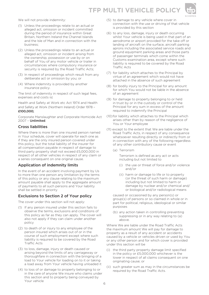# **TFP MULTI VEHICLE POLICY**



We will not provide indemnity:

- (1) Unless the proceedings relate to an actual or alleged act, omission or incident committed during the period of insurance within Great Britain, Northern Ireland the Channel Islands and the Isle of Man and in connection with the business;
- (2) Unless the proceedings relate to an actual or alleged act, omission or incident arising from the ownership, possession or use by or on behalf of You of any motor vehicle or trailer in circumstances where compulsory insurance or security is required by the Road Traffic Acts:
- (3) In respect of proceedings which result from any deliberate act or omission by you; or
- (4) Where indemnity is provided by another insurance policy.

The limit of indemnity in respect of such legal fees, expenses and costs is:

Health and Safety at Work etc Act 1974 and Health and Safety at Work (Northern Ireland) Order 1978 – £100,000;

Corporate Manslaughter and Corporate Homicide Act 2007 – Unlimited.

### Cross liabilities

Where there is more than one insured person named in Your schedule, cover will operate for each one as if they are the only insured person covered under this policy, but the total liability of the insurer for all compensation payable in respect of damage to third party property shall not exceed £5,000,000 in respect of all other vehicles in respect of any claim or a series consequent on one original cause.

### Application of indemnity limits

In the event of an accident involving payment by Us to more than one person any limitation by the terms of this policy or any clause relating to the maximum amount payable shall apply to the aggregate amount of payments to all such persons and Your liability shall be settled in priority

### Exclusions to Section 2 of Your policy

The cover under this section will not apply:

- (1) If any person insured under this section fails to observe the terms, exclusions and conditions of this policy as far as they can apply. The cover will also not apply if they can claim under another policy
- (2) to death of or injury to any employee of the person insured which arises out of or in the course of such employment except where such liability is required to be covered by the Road Traffic Acts
- (3) to loss, damage, injury or death caused or arising beyond the limits of any carriageway or thoroughfare in connection with the bringing of a load to Your vehicle for loading on to it or taking a load away from Your vehicle having unloaded it
- (4) to loss of or damage to property belonging to or in the care of anyone We insure who claims under this section and to property being conveyed by Your vehicle
- (5) to damage to any vehicle where cover in connection with the use or driving of that vehicle is provided by this section
- (6) to any loss, damage, injury or death occurring whilst Your vehicle is being used in that part of an aerodrome or airport provided for the take off or landing of aircraft on the surface, aircraft parking aprons including the associated service roads and ground equipment parking areas and those parts of passenger terminals which come within the Customs examination area, except where such liability is required to be covered by the Road Traffic Acts
- (7) for liability which attaches to the Principal by virtue of an agreement which would not have attached in the absence of such agreement
- (8) for bodily injury to the Principal for any amount for which You would not be liable in the absence of an agreement
- (9) for damage to property belonging to or held in trust by or in the custody or control of the Principal for any sum in excess of the amount required to indemnify the Principal
- (10) for liability which attaches to the Principal which arises other than by reason of the negligence of You or Your employee
- (11) except to the extent that We are liable under the Road Traffic Acts, in respect of any consequence whatsoever resulting directly or indirectly from or in connection with any of the following regardless of any other contributory cause or event
	- (a) Terrorism

Terrorism is defined as any act or acts including but not limited to

- (i) the use or threat of force and/or violence and/or
- (ii) harm or damage to life or to property (or the threat of such harm or damage) including but not limited to harm or damage by nuclear and/or chemical and/ or biological and/or radiological means

caused or occasioned by any person(s) or group(s) of persons or so claimed in whole or in part for political, religious, ideological or similar purposes

(b) any action taken in controlling preventing suppressing or in any way relating to (a) above.

Where We are liable under the Road Traffic Acts the maximum amount We will pay for damage to property as a result of any accident or accidents caused by a vehicle or vehicles driven or used by You or any other person and for which cover is provided under this section will be

- (i) the third party property damage limit specified in the policy or £5,000,000 whichever is the lower in respect of all claims consequent on one originating cause; or
- (ii) such greater sum as may in the circumstances be required by the Road Traffic Acts.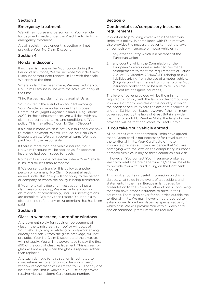### Section 3

### Emergency treatment

We will reimburse any person using Your vehicle for payments made under the Road Traffic Acts for emergency treatment.

A claim solely made under this section will not prejudice Your No Claim Discount.

### Section 4

### No claim discount

If no claim is made under Your policy during the Period of Insurance, We will increase Your No Claim Discount at Your next renewal in line with the scale We apply at the time.

Where a claim has been made, We may reduce Your No Claim Discount in line with the scale We apply at the time.

Third Parties may claim directly against Us as

Your insurer in the event of an accident involving Your Vehicle, as permitted under the European Communities (Rights Against Insurers) Regulations 2002. In these circumstances We will deal with any claim, subject to the terms and conditions of Your policy. This may affect Your No Claim Discount.

If a claim is made which is not Your fault and We have to make a payment, We will reduce Your No Claim Discount unless We can recover all sums We have paid from those responsible.

If there is more than one vehicle insured, Your No Claim Discount will be applied as if a separate insurance had been issued for each.

No Claim Discount is not earned where Your Vehicle is insured for less than 12 months.

If We consent to transfer this policy to another person or company, No Claim Discount already earned under this policy will not apply to the person or company to whom the policy is being transferred.

If Your renewal is due and investigations into a claim are still ongoing, We may reduce Your no claim discount provisionally, until Our investigations are complete. We may then restore Your no claim discount and refund any extra premium that has been paid

### Section 5

#### Glass in windscreen, sunroof or windows

Any payment solely for repair or replacement of glass in the windscreen, sunroof or windows of Your vehicle (or any scratching of bodywork arising directly and solely from the glass breakage) will not prejudice Your No Claim Discount and the excesses will not apply. You will, however, have to pay the first £50 of the cost of glass replacement. This excess for glass will not apply when the glass is repaired rather than replaced.

Any such damage for this section is restricted to comprehensive cover only with the windscreen/ window replacement value limited to £250 of any one incident. This limit is waived if You use an approved repairer via the Incident Care contact number.

### Section 6

### Continental use/compulsory insurance requirements

In addition to providing cover within the territorial limits, this policy, in compliance with EU directives, also provides the necessary cover to meet the laws on compulsory insurance of motor vehicles in:

- 1. any other country which is a member of the European Union
- 2. any country which the Commission of the European Communities is satisfied has made arrangements to meet the requirements of Article 7(2) of EC Directive 72/166/CEE relating to civil liabilities arising from the use of a motor vehicle. (Eligible countries change from time to time. Your insurance broker should be able to tell You the current list of eligible countries).

The level of cover provided will be the minimum required to comply with the laws on the compulsory insurance of motor vehicles of the country in which the accident occurs. Where the accident occurred in another EU Member State, however, if the minimum cover required by the laws of Great Britain is wider than that of such EU Member State, the level of cover provided will be that applicable to Great Britain.

### If You take Your vehicle abroad

All countries within the territorial limits have agreed that a Green card is not necessary for travel outside the territorial limits. Your Certificate of motor insurance provides sufficient evidence that You are complying with the laws on the compulsory insurance of motor vehicles in any of these countries You visit.

If, however, You contact Your insurance broker at least two weeks before departure, he/she will be able to provide You with Our 'Driving on the Continent' booklet.

This booklet contains useful information on driving abroad, what to do in the event of an accident and statements in the main European languages for presentation to the Police or other officials confirming that You have proper insurance to drive in their countries. There is no cover for countries outside the territorial limits. We may, however, be prepared to extend cover to certain places by special request, in which case We will provide You with a Green card and an additional premium will be required.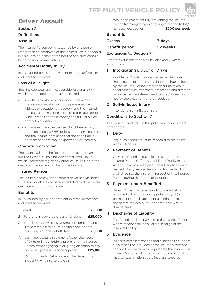# **TFP MULTI VEHICLE POLICY**



# **Driver Assault**

### Section 7

### Definitions

### Assault

The Insured Person being assaulted by any person (other than an employee of the Insured) while engaged in his duties on behalf of the Insured and such assault being an unprovoked attack.

### Accidental Bodily Injury

Injury caused by a sudden violent external unforeseen and identifiable event

### Loss of all Sight

Shall include total and irrecoverable loss of all sight which shall be deemed to have occurred

- (a) in both eyes when the condition is shown to the Insurer's satisfaction to be permanent and without expectation of recovery and the Insured Person's name has been added to the Register of Blind Persons on the authority of a fully qualified ophthalmic specialist
- (b) in one eye when the degree of sight remaining after correction is 3/60 or less on the Snellen scale and the Insurer is satisfied that the condition is permanent and without expectation of recovery

### Operation of Cover

The Insurer will pay the Benefits in the event of an Insured Person, sustaining Accidental Bodily Injury which, independently of any other cause, results in the death or disablement of the Insured Person

### Insured Person

The Insured and any other named driver shown under 5. Persons or classes of persons entitled to drive on the Certificate of motor insurance

### **Benefits**

Injury caused by a sudden violent external unforeseen and identifiable event:

- 1. death **£25,000**
- 2. total and irrecoverable loss of all sight **£25,000**
- 3. total loss by physical severance or complete and irrecoverable loss of use of either one or both hands and/or one or both feet **£25,000**
- 4. permanent total disablement (other than Loss of Sight or limbs) entirely preventing the Insured Person from engaging in or giving attention to any and every profession or occupation **£25,000**

 Occurring within 24 months of the date of the incident giving rise to the claim

5. total disablement entirely preventing the Insured Person from engaging in or giving attention to his/ her usual occupation **£200 per week**

### Benefit 5:

Excess 7 days

Benefit period 52 weeks

### Exclusions to Section 7

General exclusions to this policy also apply where appropriate

### 1 Intoxicating Liquor or Drugs

Accidental Bodily Injury sustained while under the influence of intoxicating liquor or drugs taken by the Insured Person other than drugs taken in accordance with treatment prescribed and directed by a qualified registered medical practitioner but not for the treatment of drug addiction

### 2 Self-Inflicted Injury

intentional self-inflicted injury

### Conditions to Section 7

The general conditions in this policy also apply where appropriate

### 1 Duty

Any such Assault must be reported to the police within 24 hours

### 2 Payment of Benefit

Only one Benefit is payable in respect of the Insured Person suffering Accidental Bodily Injury After a claim has been paid under Benefit 1 to 4 in respect of any Insured Person no further liability shall attach to the Insurer in respect of that Insured Person during the Period of Insurance

### 3 Payment under Benefit 4

Benefit 4 shall be payable only on certification by a medical practitioner (appointed by Us) of permanent total disablement as defined and not before the expiry of 52 consecutive weeks' disablement

### 4 Discharge of Liability

The Benefit shall be payable to the Insured Person whose receipt shall be a valid discharge of the Insurer's liability

### 5 Evidence

All certificates information and evidence to support a claim shall be provided at the Insured's expense and shall be in a form as required by the Insurer The Insured Person shall as often as required submit to medical examination at the Insurer's expense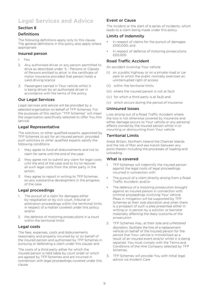# **Legal Services and Advice**

### Section 8

### Definitions

The following definitions apply only to this clause. The general definitions in this policy also apply where appropriate

#### Insured person

- 1. You
- 2. Any authorised driver or any person permitted to drive as described under '5 – Persons or Classes of Persons entitled to drive' in the certificate of motor insurance provided that person holds a valid driving licence
- 3. Passengers carried in Your vehicle whilst it is being driven by an authorised driver in accordance with the terms of the policy

### Our Legal Services

Legal services and advice will be provided by a selected organisation on behalf of TFP Schemes. For the purposes of this section "TFP Schemes" will mean the organisation specifically selected to offer You this service

### Legal Representative

The solicitors, or other qualified experts, appointed by TFP Schemes to act for an insured person, provided such solicitors or other qualified experts satisfy the following conditions

- 1. they agree to fund all disbursements and not to claim for same until the end of the case;
- 2. they agree not to submit any claim for legal costs until the end of the case and to try to recover all such legal costs from the other party in the action;
- 3. they agree to report in writing to TFP Schemes on any substantive development in the progress of the case

### Legal proceedings

- 1. The pursuit of a claim for damages either by negotiation or by civil court, tribunal or arbitration proceedings within the territorial limits in respect of a matter covered under this policy; and/or
- 2. the defence of motoring prosecutions in a court within the territorial limits

### Legal costs

The fees, expenses, costs and disbursements reasonably and properly incurred by or on behalf of the insured person and authorised by TFP Schemes in pursuing or defending a claim under this clause; and

The costs of a third party either for which the insured person is held liable by court order or which are agreed by TFP Schemes and are incurred in connection with legal proceedings covered under this clause

### Event or Cause

The incident or the start of a series of incidents, which leads to a claim being made under this policy

### Limits of Indemnity

- In respect of claims for the pursuit of damages £100,000; and
- In respect of defence of motoring prosecutions £20,000

### Road Traffic Accident

An accident involving Your vehicle

- (i) on a public highway or on a private road or car park to which the public normally exercises an uninterrupted right of access
- (ii) within the territorial limits
- (iii) where the insured person is not at fault
- (iv) for which a third party is at fault and
- (v) which occurs during the period of insurance

### Uninsured losses

Loss arising out of a Road Traffic Accident where the loss is not otherwise covered by insurance and either damage occurs to Your vehicle or any personal effects owned by the insured person whilst in or mounting or dismounting from Your vehicle

### Territorial Limits

Great Britain, Northern Ireland the Channel Islands and the Isle of Man and sea transit between any ports therein including the processes of loading and unloading.

#### What is covered

- 1. TFP Schemes will indemnify the insured person against the legal costs of legal proceedings incurred in connection with
- The pursuit of a claim directly arising from a Road Traffic Accident: and/or
- The defence of a motoring prosecution brought against an insured person in connection with criminal proceedings involving Your vehicle. Pleas in mitigation will be supported by TFP Schemes at their sole discretion and when there is a prospect of such a plea presented either in writing or in person by a solicitor or barrister materially affecting the likely outcome of the prosecution
- 2. TFP Schemes may, at their sole and unfettered discretion, facilitate the hire of a replacement vehicle on behalf of the Insured person for the period that Your vehicle is immobilised as a result of an insured event and/or whilst it is being repaired. You must comply with the Terms and Conditions of the Hire Company selected by TFP Schemes.
- 3. TFP Schemes will provide You with initial legal advice via Incident Care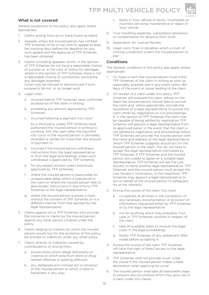



### What is not covered

General exceptions to this policy also apply where appropriate

- 1. Claims arising from an on track/event accident
- 2. Appeals unless the Insured person has notified TFP Schemes of his or her wish to appeal at least ten working days before the deadline for any such appeal and the approval of TFP Schemes has been obtained
- 3. Claims (including appeals) which, in the opinion of TFP Schemes do not have a reasonable chance of success or, in the case of claims for damages, where in the opinion of TFP Schemes there is not a reasonable chance of successfully recovering any damages awarded. Cover may be refused or discontinued if such prospects do not, or no longer exist
- 4. Legal costs
	- a incurred before TFP Schemes have confirmed acceptance of the claim in writing;
	- b. exceeding any amount approved by TFP Schemes;
	- c. incurred following a payment into court

by a third party unless TFP Schemes have authorised the insured person in writing to continue with the claim after the payment into court or the insured person is ultimately awarded or settles for more than the amount of payment in;

- d. incurred if the insured person withdraws instructions from the legal representative or from the legal proceedings unless such withdrawal is approved by TFP Schemes;
- e. for any expert witness unless previously approved by TFP Schemes;
- where the insured person is responsible for unreasonable delay which is prejudicial to the claim or where the insured person fails to give proper instructions in due time to TFP Schemes or the legal representative;
- g. where the insured person pursues a claim without the consent of TFP Schemes or in a different manner from that advised by the legal representative
- 5. Claims against Us or TFP Schemes who provide the insurance or claims by the insured person against any other person covered under the policy
- 6. Claims relating to matters for which the insured person would, but for the existence of this policy, be entitled to indemnity under any other policy
- 7. Claims directly or indirectly caused by, contributed to or arising from;
	- a. prosecutions which allege dishonesty or violence or which arise from drink or drugrelated offences or parking offences;
	- b. any deliberate and criminal act or omission of the insured person or which is false or fraudulent in any way;
- c. faults in Your vehicle or faulty, incomplete or incorrect servicing, maintenance or repair of Your vehicle
- 8. Your travelling expenses, subsistence allowance or compensation for absence from work
- 9. Application for Judicial Review
- 10. Legal costs, fines or penalties which a court of criminal jurisdiction orders the insured person to pay

### Conditions

The General conditions in this policy also apply where appropriate

- 1. To make a claim the insured person must notify TFP Schemes of the claim in writing as soon as reasonably possible and in any event within 180 days of the event or cause leading to the claim
- 2. On receipt of a claim under this policy TFP Schemes will evaluate the claim, advise on the steps the insured person should take to pursue the claim and, where appropriate, provide the assistance of a legal representative to pursue the claim either by negotiation or civil proceedings. If, in the opinion of TFP Schemes the claim may be capable of being settled by negotiation TFP Schemes will appoint a legal representative from its approved panel. In the event that the claim is not settled by negotiation and proceedings follow TFP Schemes will provide the insured person with the name and address of the legal representative whom TFP Schemes suggests should act for the insured person in the claim. You do not have to accept the legal representative nominated by TFP Schemes. If TFP Schemes and the insured person are unable to agree on a suitable legal representative, TFP Schemes will ask the Law Society to name another legal representative. TFP Schemes and the insured person must accept the Law Society's nomination. In the meantime, TFP Schemes may appoint a legal representative to act on behalf of the insured person to safeguard his or her interests
- 3. During the course of the claim You must
	- a. co-operate at all times in the completion of any necessary documentation or provision of information requested either by TFP Schemes or by the legal representative
	- b. not do anything which may prejudice Your case or TFP Schemes' position in respect of the claim
	- c. take all available steps to recover the legal costs in the legal proceedings
	- d. Notify TFP Schemes of any settlement offer made before accepting it
- 4. During the course of the claim TFP Schemes will have the right of direct access to the legal representative
- 5. TFP Schemes shall not provide cover under the clause if the insured person makes a false declaration when applying for cover
- 6. The insured person shall take all reasonable steps to prevent any occurrence which may give rise to a claim under this clause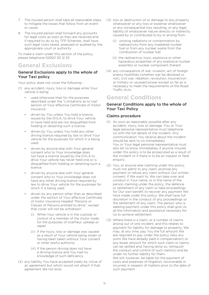- 7. The insured person shall take all reasonable steps to mitigate the losses that follow from an event or cause
- 8. The insured person shall forward any accounts for legal costs as soon as they are received and, if required to do so by TFP Schemes, shall have such legal costs taxed, assessed or audited by the appropriate court or authority

To make a claim under this section of the policy, please telephone 02920 30 12 32

### **General Exclusions**

### General Exclusions apply to the whole of Your Taxi policy

Your policy does not cover the following -

- (1) any accident, injury, loss or damage while Your vehicle is being:
	- used otherwise than for the purposes described under the "Limitations as to Use" section of Your effective Certificate of motor insurance
	- driven by You unless You hold a licence, issued by the DVLA, to drive Your vehicle or have held and are not disqualified from holding or obtaining such a licence
	- driven by You unless You hold any other driving licence required by law to drive Your vehicle for the purposes for which it is being used
	- driven by anyone else with Your general consent who to Your knowledge does not have a licence issued by the DVLA to drive Your vehicle has never held one or is disqualified from holding or obtaining such a licence
	- driven by anyone else with Your general consent who to Your knowledge does not have any other driving licence required by law to drive Your vehicle for the purposes for which it is being used
	- driven by any person other than as described under the section of Your effective Certificate of motor insurance headed "Persons or Classes of Persons entitled to drive", except that cover will not be withdrawn
		- (i) While Your vehicle is in the custody or control of a member of the motor trade for the purposes of overhaul, upkeep or repair
		- (ii) If the injury, loss or damage was caused as a result of Your vehicle being stolen or having been taken without Your consent or other lawful authority
		- (iii) If the person driving does not have a driving licence and You had no knowledge of such deficiency.
- (2) any liability You have accepted solely by virtue of an agreement but which would not attach if that agreement did not exist.
- (3) loss or destruction of or damage to any property whatsoever or any loss or expense whatsoever or any consequential loss resulting; or any legal liability of whatsoever nature directly or indirectly caused by or contributed to by or arising from
	- (i) ionising radiations or contamination by radioactivity from any irradiated nuclear fuel or from any nuclear waste from the combustion of nuclear fuel
	- (ii) the radioactive, toxic, explosive or other hazardous properties of any explosive nuclear assembly or nuclear component thereof.
- (4) any consequence of war, invasion, act of foreign enemy hostilities (whether war be declared or not), civil war, rebellion, revolution, insurrection or military or usurped power except so far as is necessary to meet the requirements of the Road Traffic Acts.

### **General Conditions**

### General Conditions apply to the whole of Your Taxi Policy

### Claims procedure

- (1) As soon as reasonably possible after any accident, injury, loss or damage, You or Your legal personal representative must telephone Us with the full details of the incident. Any communication You receive about the incident should be sent to Us immediately. You or Your legal personal representative must also let Us know immediately if anyone insured under this policy is to be prosecuted as a result of the incident or if there is to be an inquest or fatal enquiry.
- (2) You, or anyone else claiming under this policy, must not admit to any claim, promise any payment or refuse any claim without Our written consent. If We want to, We can take over and conduct in Your name, or in the name of the person claiming under the policy, the defence or settlement of any claim or take proceedings for Our own benefit to recover any payment We have made under this policy. We shall have full discretion in the conduct of any proceedings or the settlement of any claim. The person who is seeking payment under this policy shall give Us all the information and assistance necessary for Us to achieve settlement.
- (3) Where there is a claim, or a number of claims arising out of one incident, and this relates to payment for liability for damage to property, We may, at any time, pay You the full amount We are required to pay under the policy (less any sums We have already paid in compensation) or, any lesser amount for which such claim or claims can be settled and, having done so, relinquish the conduct and control of such claim(s) and be under no further liability for them. We will, however, be liable for the payment of costs and expenses of litigation, recoverable or incurred, in respect of matters prior to the date of such payment.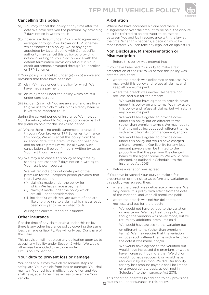

### Cancelling this policy

- (a) You may cancel this policy at any time after the date We have received the premium, by providing 7 days notice in writing to Us.
- (b) If there is a default under Your credit agreement, arranged through Your broker or TFP Schemes, which finances this policy, we, or any agent appointed by Us and acting with Our specific authority may cancel this policy by providing notice in writing to You in accordance with the default termination provisions set out in Your credit agreement, arranged through Your broker or TFP Schemes.

If Your policy is cancelled under (a) or (b) above and provided that there have been no:

- (i) claim(s) made under the policy for which We have made a payment
- (ii) claim(s) made under the policy which are still under consideration
- (iii) incident(s) which You are aware of and are likely to give rise to a claim which has already been or is yet to be reported to Us

during the current period of insurance We may, at Our discretion, refund to You a proportionate part of the premium paid for the unexpired period.

- (c) Where there is no credit agreement, arranged through Your broker or TFP Schemes, to finance this policy, We will cancel this policy from the inception date if the premium has not been paid and no return premium will be allowed. Such cancellation will be confirmed in writing by Us to Your last known address.
- (d) We may also cancel this policy at any time by sending not less than 7 days notice in writing to Your last known address.

We will refund a proportionate part of the premium for the unexpired period provided that there have been no

- (i) claim(s) made under the policy for which We have made a payment,
- (ii) claim(s) made under the policy which are still under consideration,
- (iii) incident(s) which You are aware of and are likely to give rise to a claim which has already been or is yet to be reported to Us

during the current Period of Insurance.

#### Other insurance

If at the time of any claim arising under this policy there is any other insurance policy covering the same loss, damage or liability, We will only pay Our share of the claim.

This provision will not place any obligation upon Us to accept any liability under Section 2 which We would otherwise be entitled to exclude under Exclusion 1 to Section 2.

### Your duty to prevent loss or damage

You shall at all times take all reasonable steps to safeguard Your vehicle from loss or damage. You shall maintain Your vehicle in efficient condition and We shall have, at all times, free access to examine Your vehicle.

### Arbitration

Where We have accepted a claim and there is disagreement over the amount to be paid, the dispute must be referred to an arbitrator to be agreed between You and Us in accordance with the law at the time. When this happens, a decision must be made before You can take any legal action against us.

### Non Disclosure, Misrepresentation or Misdescription

1. Before this policy was entered into

If You have breached Your duty to make a fair presentation of the risk to Us before this policy was entered into, then:

- where the breach was deliberate or reckless. We may avoid this policy and refuse all claims, and keep all premiums paid;
- where the breach was neither deliberate nor reckless, and but for the breach:
	- We would not have agreed to provide cover under this policy on any terms, We may avoid this policy and refuse all claims, but will return any premiums paid
	- We would have agreed to provide cover under this policy but on different terms (other than premium terms), We may require that this policy includes such different terms with effect from its commencement, and/or
	- We would have agreed to provide cover under this policy but would have charged a higher premium, Our liability for any loss amount payable shall be limited to the proportion that the premium We charged bears to the higher premium We would have charged, as outlined in Schedule 1 to the Insurance Act 2015.
- 2. Before a variation was agreed

If You have breached Your duty to make a fair presentation of the risk to Us before any variation to this policy was agreed, then:

- where the breach was deliberate or reckless, We may cancel this policy with effect from the date of the variation, and keep all premiums paid;
- where the breach was neither deliberate nor reckless, and but for the breach:
	- We would not have agreed to the variation on any terms, We may treat this policy as though the variation was never made, but will return any additional premiums paid
	- We would have agreed to the variation but on different terms (other than premium terms), We may require that the variation includes such different terms with effect from the date it was made, and/or
	- We would have agreed to the variation but would have increased the premium, or would have increased it by more than We did, or would not have reduced it or would have reduced it by less than We did, Our liability for any loss amount payable shall be limited on a proportionate basis, as outlined in Schedule 1 to the Insurance Act 2015.

This condition operates in addition to any provisions 12 relating to underinsurance in this policy.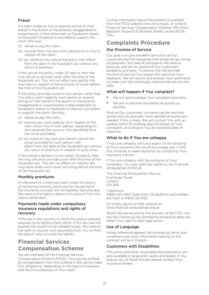### Fraud

If a claim made by You or anyone acting on Your behalf is fraudulent or fraudulently exaggerated or supported by a false statement or fraudulent means or fraudulent evidence is provided to support the claim, We may:

- (1) refuse to pay the claim,
- (2) recover from You any sums paid by Us to You in respect of the claim,
- (3) by notice to You cancel the policy with effect from the date of the fraudulent act without any return of premium.

If We cancel the policy under (3) above, then We may refuse to provide cover after the time of the fraudulent act. This will not affect any liability We may have in respect of the provision of cover before the time of the fraudulent act.

If this policy provides cover to any person other than You and a claim made by such person or anyone acting on their behalf is fraudulent or fraudulently exaggerated or supported by a false statement or fraudulent means or fraudulent evidence is provided to support the claim, We may:

- (1) refuse to pay the claim,
- (2) recover any sums paid by Us in respect of the claim (from You or such person, depending on who received the sums or who benefited from the cover provided),
- (3) by notice to You and such person cancel the cover provided for such person with effect from the date of the fraudulent act without any return of premium in respect of such cover.

If We cancel a person's cover under (3) above, then We may refuse to provide cover after the time of the fraudulent act. This will not affect any liability We may have under such cover occurring before the time of the fraudulent act.

### Monthly premiums

IIn the event of a total loss claim under this policy, all remaining monthly premiums for the period of the insurance contract will immediately become due. We reserve the right to deduct this amount from the claims settlement.

### Payments made under compulsory insurance regulations and rights of recovery

If the law in any country in which this policy operates requires Us to settle a claim which, if this law had not existed We would not be obliged to pay, We reserve the right to recover such payments from You or from the person who incurred the liability.

# **Financial Services Compensation Scheme**

We are members of the Financial Services Compensation Scheme (FSCS). You may be entitled to compensation from this scheme if We cannot meet Our obligations, depending on the type of insurance and the circumstances of Your claim.

Further information about the scheme is available from the FSCS website www.fscs.org.uk, or write to Financial Services Compensation Scheme, 10th Floor, Beaufort House,15 St Botolph Street,London,EC3A  $7QU$ 

# **Complaints Procedure**

### Our Promise of Service

Our goal is to give excellent service to all Our customers but We recognise that things do go wrong occasionally. We take all complaints We receive seriously and aim to resolve all Our customers' problems promptly. To ensure that We provide the kind of service You expect We welcome Your feedback. We will record and analyse Your comments to make sure We continually improve the service We offer.

### What will happen if You complain?

- We will acknowledge Your complaint promptly.
- We aim to resolve complaints as quickly as possible.

Most of Our customers' concerns can be resolved quickly but occasionally more detailed enquiries are needed. If this is likely, We will contact You with an update within 10 working days of receipt of Your complaint, and will give You an expected date of response.

### What to do if You are unhappy

If You are unhappy with any aspect of the handling of Your insurance We would encourage you, in the first instance, to seek resolution by contacting Your Insurance Advisor

If You are unhappy with the outcome of Your complaint, You may refer the matter to the Financial Ombudsman (FOS) at:

The Financial Ombudsman Service Exchange Tower London E14 9SR

Telephone: 0800 023 4567 (calls from UK landlines and mobiles are free) or 0300 123 9123

Or simply log on to their website at www.financial-ombudsman.org.uk

Whilst We are bound by the decision of the FOS, You are not. Following the complaints procedure does not affect Your right to take legal action.

### Use of Language

Unless otherwise agreed, the contractual terms and conditions and other information relating to this contract will be in English.

### Customers with Disabilities

This policy and other associated documentation are also available in large print, audio and Braille. If You require any of these formats please contact Your insurance broker.